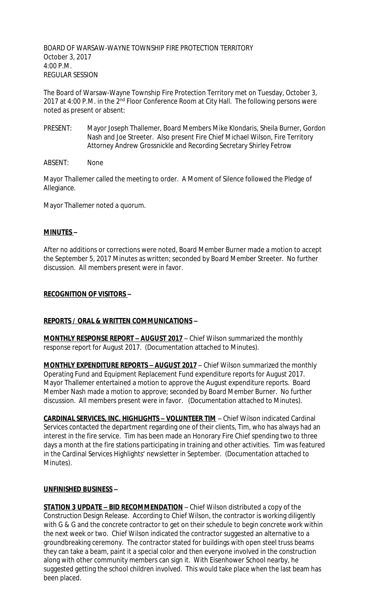BOARD OF WARSAW-WAYNE TOWNSHIP FIRE PROTECTION TERRITORY October 3, 2017 4:00 P.M. REGULAR SESSION

The Board of Warsaw-Wayne Township Fire Protection Territory met on Tuesday, October 3, 2017 at 4:00 P.M. in the 2<sup>nd</sup> Floor Conference Room at City Hall. The following persons were noted as present or absent:

- PRESENT: Mayor Joseph Thallemer, Board Members Mike Klondaris, Sheila Burner, Gordon Nash and Joe Streeter. Also present Fire Chief Michael Wilson, Fire Territory Attorney Andrew Grossnickle and Recording Secretary Shirley Fetrow
- ABSENT: None

Mayor Thallemer called the meeting to order. A Moment of Silence followed the Pledge of Allegiance.

Mayor Thallemer noted a quorum.

## **MINUTES –**

After no additions or corrections were noted, Board Member Burner made a motion to accept the September 5, 2017 Minutes as written; seconded by Board Member Streeter. No further discussion. All members present were in favor.

## **RECOGNITION OF VISITORS –**

## **REPORTS / ORAL & WRITTEN COMMUNICATIONS –**

**MONTHLY RESPONSE REPORT – AUGUST 2017** – Chief Wilson summarized the monthly response report for August 2017. (Documentation attached to Minutes).

**MONTHLY EXPENDITURE REPORTS – AUGUST 2017** – Chief Wilson summarized the monthly Operating Fund and Equipment Replacement Fund expenditure reports for August 2017. Mayor Thallemer entertained a motion to approve the August expenditure reports. Board Member Nash made a motion to approve; seconded by Board Member Burner. No further discussion. All members present were in favor. (Documentation attached to Minutes).

**CARDINAL SERVICES, INC. HIGHLIGHTS – VOLUNTEER TIM** – Chief Wilson indicated Cardinal Services contacted the department regarding one of their clients, Tim, who has always had an interest in the fire service. Tim has been made an Honorary Fire Chief spending two to three days a month at the fire stations participating in training and other activities. Tim was featured in the Cardinal Services Highlights' newsletter in September. (Documentation attached to Minutes).

#### **UNFINISHED BUSINESS –**

**STATION 3 UPDATE – BID RECOMMENDATION** – Chief Wilson distributed a copy of the Construction Design Release. According to Chief Wilson, the contractor is working diligently with G & G and the concrete contractor to get on their schedule to begin concrete work within the next week or two. Chief Wilson indicated the contractor suggested an alternative to a groundbreaking ceremony. The contractor stated for buildings with open steel truss beams they can take a beam, paint it a special color and then everyone involved in the construction along with other community members can sign it. With Eisenhower School nearby, he suggested getting the school children involved. This would take place when the last beam has been placed.